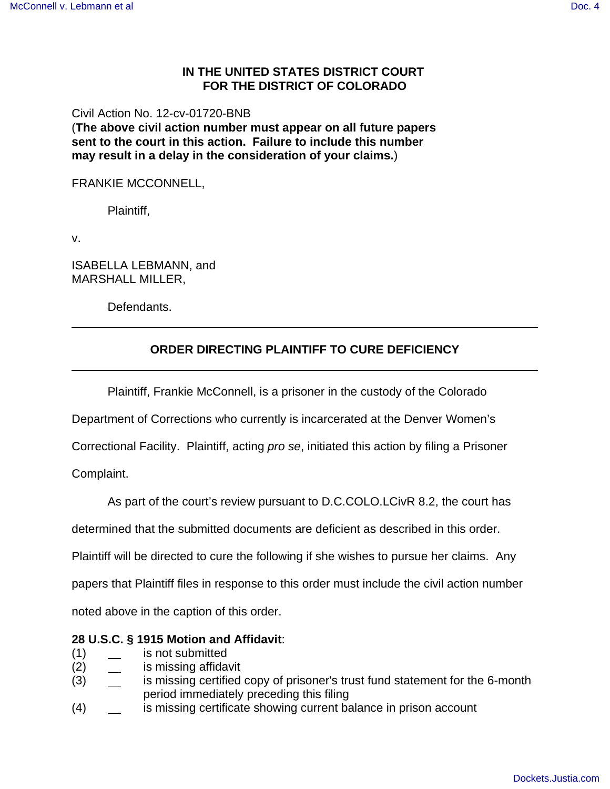### **IN THE UNITED STATES DISTRICT COURT FOR THE DISTRICT OF COLORADO**

Civil Action No. 12-cv-01720-BNB

(**The above civil action number must appear on all future papers sent to the court in this action. Failure to include this number may result in a delay in the consideration of your claims.**)

#### FRANKIE MCCONNELL,

Plaintiff,

v.

ISABELLA LEBMANN, and MARSHALL MILLER,

Defendants.

# **ORDER DIRECTING PLAINTIFF TO CURE DEFICIENCY**

Plaintiff, Frankie McConnell, is a prisoner in the custody of the Colorado

Department of Corrections who currently is incarcerated at the Denver Women's

Correctional Facility. Plaintiff, acting pro se, initiated this action by filing a Prisoner

Complaint.

As part of the court's review pursuant to D.C.COLO.LCivR 8.2, the court has

determined that the submitted documents are deficient as described in this order.

Plaintiff will be directed to cure the following if she wishes to pursue her claims. Any

papers that Plaintiff files in response to this order must include the civil action number

noted above in the caption of this order.

#### **28 U.S.C. § 1915 Motion and Affidavit**:

- (1) is not submitted
- (2) is missing affidavit
- (3) is missing certified copy of prisoner's trust fund statement for the 6-month period immediately preceding this filing
- (4) is missing certificate showing current balance in prison account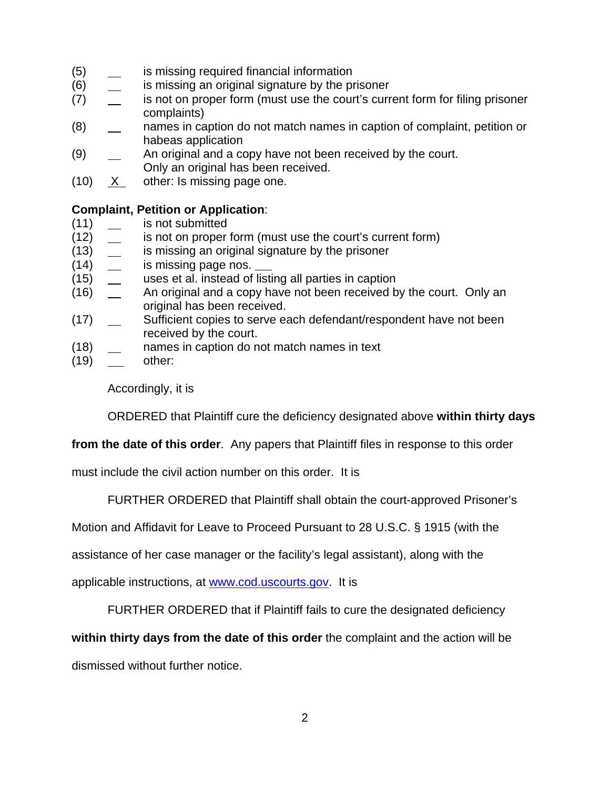- (5) is missing required financial information
- (6) **ignor in the matube is missing an original signature by the prisoner**
- (7) is not on proper form (must use the court's current form for filing prisoner complaints)
- (8) names in caption do not match names in caption of complaint, petition or habeas application
- (9)  $\qquad \qquad$  An original and a copy have not been received by the court. Only an original has been received.
- (10) X other: Is missing page one.

# **Complaint, Petition or Application**:

- (11) is not submitted
- (12) is not on proper form (must use the court's current form)
- (13) **is missing an original signature by the prisoner**
- (14) is missing page nos.
- (15) uses et al. instead of listing all parties in caption
- (16)  $\quad \_$  An original and a copy have not been received by the court. Only an original has been received.
- (17) \_\_ Sufficient copies to serve each defendant/respondent have not been received by the court.
- (18) names in caption do not match names in text
- $(19)$  \_\_\_ other:

Accordingly, it is

ORDERED that Plaintiff cure the deficiency designated above **within thirty days**

**from the date of this order**. Any papers that Plaintiff files in response to this order

must include the civil action number on this order. It is

FURTHER ORDERED that Plaintiff shall obtain the court-approved Prisoner's

Motion and Affidavit for Leave to Proceed Pursuant to 28 U.S.C. § 1915 (with the

assistance of her case manager or the facility's legal assistant), along with the

applicable instructions, at www.cod.uscourts.gov. It is

FURTHER ORDERED that if Plaintiff fails to cure the designated deficiency

**within thirty days from the date of this order** the complaint and the action will be

dismissed without further notice.